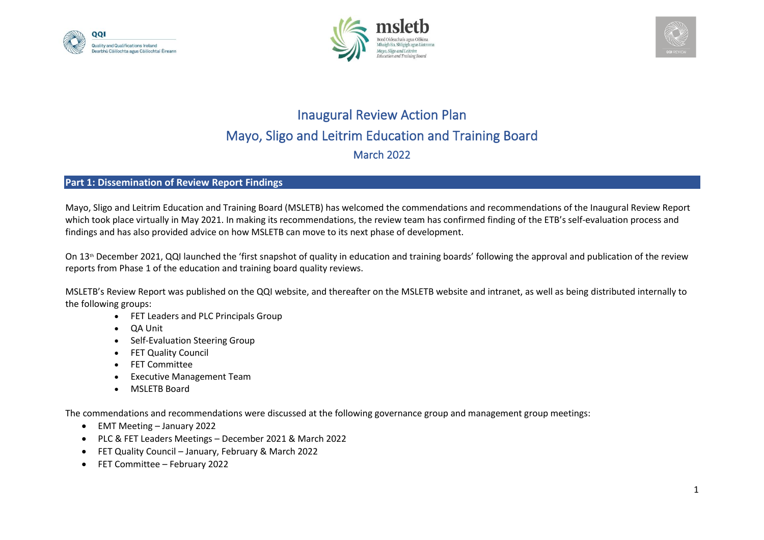





## Inaugural Review Action Plan Mayo, Sligo and Leitrim Education and Training Board March 2022

## **Part 1: Dissemination of Review Report Findings**

Mayo, Sligo and Leitrim Education and Training Board (MSLETB) has welcomed the commendations and recommendations of the Inaugural Review Report which took place virtually in May 2021. In making its recommendations, the review team has confirmed finding of the ETB's self-evaluation process and findings and has also provided advice on how MSLETB can move to its next phase of development.

On 13th December 2021, QQI launched the 'first snapshot of quality in education and training boards' following the approval and publication of the review reports from Phase 1 of the education and training board quality reviews.

MSLETB's Review Report was published on the QQI website, and thereafter on the MSLETB website and intranet, as well as being distributed internally to the following groups:

- FET Leaders and PLC Principals Group
- QA Unit
- Self-Evaluation Steering Group
- FET Quality Council
- FET Committee
- Executive Management Team
- MSLETB Board

The commendations and recommendations were discussed at the following governance group and management group meetings:

- EMT Meeting January 2022
- PLC & FET Leaders Meetings December 2021 & March 2022
- FET Quality Council January, February & March 2022
- FET Committee February 2022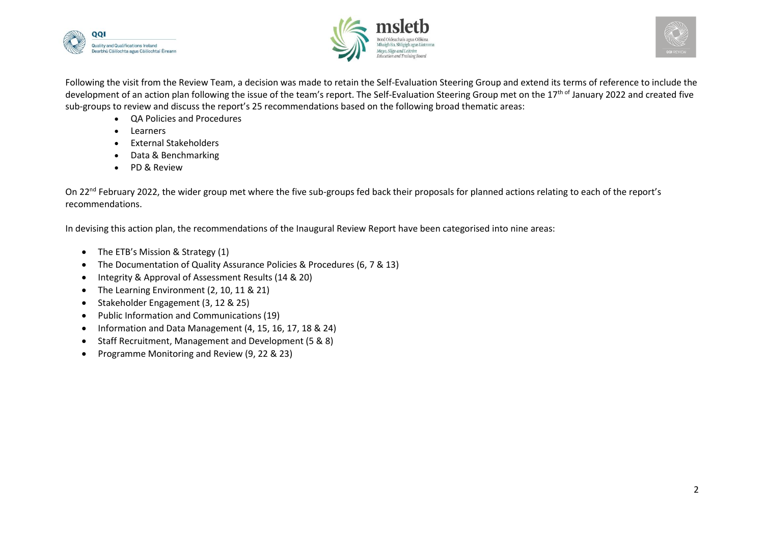





Following the visit from the Review Team, a decision was made to retain the Self-Evaluation Steering Group and extend its terms of reference to include the development of an action plan following the issue of the team's report. The Self-Evaluation Steering Group met on the 17<sup>th of</sup> January 2022 and created five sub-groups to review and discuss the report's 25 recommendations based on the following broad thematic areas:

- QA Policies and Procedures
- Learners
- External Stakeholders
- Data & Benchmarking
- PD & Review

On 22<sup>nd</sup> February 2022, the wider group met where the five sub-groups fed back their proposals for planned actions relating to each of the report's recommendations.

In devising this action plan, the recommendations of the Inaugural Review Report have been categorised into nine areas:

- The ETB's Mission & Strategy (1)
- The Documentation of Quality Assurance Policies & Procedures (6, 7 & 13)
- Integrity & Approval of Assessment Results (14 & 20)
- The Learning Environment (2, 10, 11 & 21)
- Stakeholder Engagement (3, 12 & 25)
- Public Information and Communications (19)
- Information and Data Management (4, 15, 16, 17, 18 & 24)
- Staff Recruitment, Management and Development (5 & 8)
- Programme Monitoring and Review (9, 22 & 23)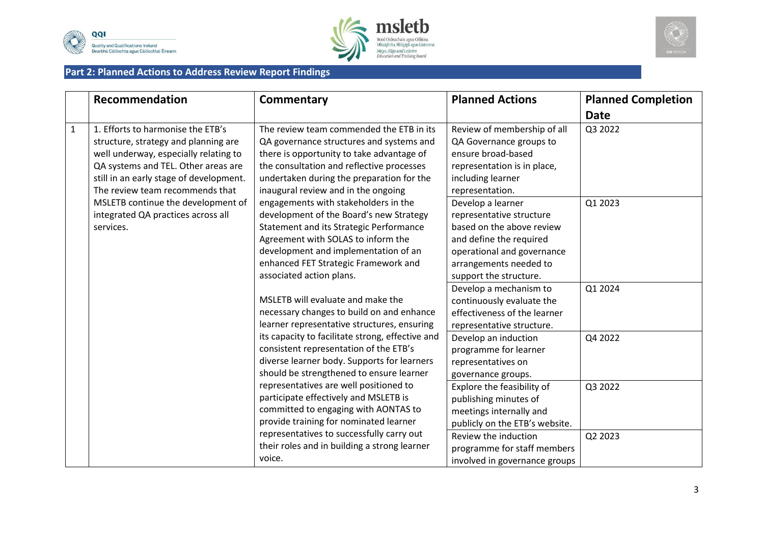





## **Part 2: Planned Actions to Address Review Report Findings**

|              | Recommendation                                                                                                                                                                                                                          | Commentary                                                                                                                                                                                                                                                                   | <b>Planned Actions</b>                                                                                                                                                                  | <b>Planned Completion</b> |
|--------------|-----------------------------------------------------------------------------------------------------------------------------------------------------------------------------------------------------------------------------------------|------------------------------------------------------------------------------------------------------------------------------------------------------------------------------------------------------------------------------------------------------------------------------|-----------------------------------------------------------------------------------------------------------------------------------------------------------------------------------------|---------------------------|
|              |                                                                                                                                                                                                                                         |                                                                                                                                                                                                                                                                              |                                                                                                                                                                                         | <b>Date</b>               |
| $\mathbf{1}$ | 1. Efforts to harmonise the ETB's<br>structure, strategy and planning are<br>well underway, especially relating to<br>QA systems and TEL. Other areas are<br>still in an early stage of development.<br>The review team recommends that | The review team commended the ETB in its<br>QA governance structures and systems and<br>there is opportunity to take advantage of<br>the consultation and reflective processes<br>undertaken during the preparation for the<br>inaugural review and in the ongoing           | Review of membership of all<br>QA Governance groups to<br>ensure broad-based<br>representation is in place,<br>including learner<br>representation.                                     | Q3 2022                   |
|              | MSLETB continue the development of<br>integrated QA practices across all<br>services.                                                                                                                                                   | engagements with stakeholders in the<br>development of the Board's new Strategy<br>Statement and its Strategic Performance<br>Agreement with SOLAS to inform the<br>development and implementation of an<br>enhanced FET Strategic Framework and<br>associated action plans. | Develop a learner<br>representative structure<br>based on the above review<br>and define the required<br>operational and governance<br>arrangements needed to<br>support the structure. | Q1 2023                   |
|              |                                                                                                                                                                                                                                         | MSLETB will evaluate and make the<br>necessary changes to build on and enhance<br>learner representative structures, ensuring                                                                                                                                                | Develop a mechanism to<br>continuously evaluate the<br>effectiveness of the learner<br>representative structure.                                                                        | Q1 2024                   |
|              |                                                                                                                                                                                                                                         | its capacity to facilitate strong, effective and<br>consistent representation of the ETB's<br>diverse learner body. Supports for learners<br>should be strengthened to ensure learner                                                                                        | Develop an induction<br>programme for learner<br>representatives on<br>governance groups.                                                                                               | Q4 2022                   |
|              |                                                                                                                                                                                                                                         | representatives are well positioned to<br>participate effectively and MSLETB is<br>committed to engaging with AONTAS to<br>provide training for nominated learner                                                                                                            | Explore the feasibility of<br>publishing minutes of<br>meetings internally and<br>publicly on the ETB's website.                                                                        | Q3 2022                   |
|              |                                                                                                                                                                                                                                         | representatives to successfully carry out<br>their roles and in building a strong learner<br>voice.                                                                                                                                                                          | Review the induction<br>programme for staff members<br>involved in governance groups                                                                                                    | Q2 2023                   |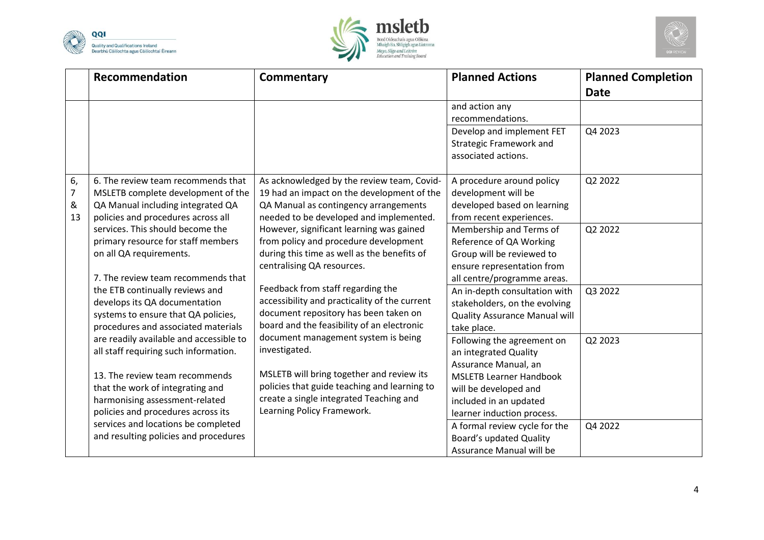





|                                 | Recommendation                                                                                                                                      | <b>Commentary</b>                                                                                                                                                            | <b>Planned Actions</b>                                                                                                                       | <b>Planned Completion</b> |
|---------------------------------|-----------------------------------------------------------------------------------------------------------------------------------------------------|------------------------------------------------------------------------------------------------------------------------------------------------------------------------------|----------------------------------------------------------------------------------------------------------------------------------------------|---------------------------|
|                                 |                                                                                                                                                     |                                                                                                                                                                              | and action any<br>recommendations.<br>Develop and implement FET<br><b>Strategic Framework and</b><br>associated actions.                     | <b>Date</b><br>Q4 2023    |
| 6,<br>$\overline{7}$<br>&<br>13 | 6. The review team recommends that<br>MSLETB complete development of the<br>QA Manual including integrated QA<br>policies and procedures across all | As acknowledged by the review team, Covid-<br>19 had an impact on the development of the<br>QA Manual as contingency arrangements<br>needed to be developed and implemented. | A procedure around policy<br>development will be<br>developed based on learning<br>from recent experiences.                                  | Q2 2022                   |
|                                 | services. This should become the<br>primary resource for staff members<br>on all QA requirements.<br>7. The review team recommends that             | However, significant learning was gained<br>from policy and procedure development<br>during this time as well as the benefits of<br>centralising QA resources.               | Membership and Terms of<br>Reference of QA Working<br>Group will be reviewed to<br>ensure representation from<br>all centre/programme areas. | Q2 2022                   |
|                                 | the ETB continually reviews and<br>develops its QA documentation<br>systems to ensure that QA policies,<br>procedures and associated materials      | Feedback from staff regarding the<br>accessibility and practicality of the current<br>document repository has been taken on<br>board and the feasibility of an electronic    | An in-depth consultation with<br>stakeholders, on the evolving<br>Quality Assurance Manual will<br>take place.                               | Q3 2022                   |
|                                 | are readily available and accessible to<br>all staff requiring such information.                                                                    | document management system is being<br>investigated.                                                                                                                         | Following the agreement on<br>an integrated Quality<br>Assurance Manual, an                                                                  | Q2 2023                   |
|                                 | 13. The review team recommends<br>that the work of integrating and<br>harmonising assessment-related<br>policies and procedures across its          | MSLETB will bring together and review its<br>policies that guide teaching and learning to<br>create a single integrated Teaching and<br>Learning Policy Framework.           | <b>MSLETB Learner Handbook</b><br>will be developed and<br>included in an updated<br>learner induction process.                              |                           |
|                                 | services and locations be completed<br>and resulting policies and procedures                                                                        |                                                                                                                                                                              | A formal review cycle for the<br><b>Board's updated Quality</b><br>Assurance Manual will be                                                  | Q4 2022                   |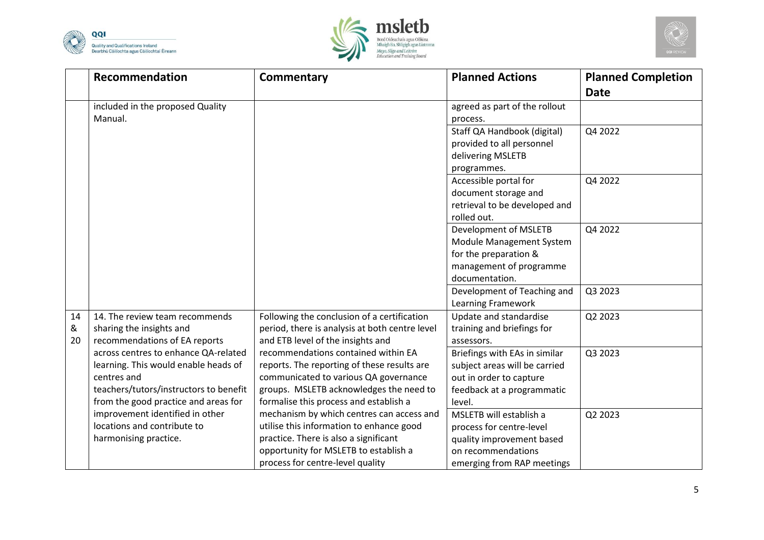





|    | Recommendation                         | Commentary                                     | <b>Planned Actions</b>        | <b>Planned Completion</b> |
|----|----------------------------------------|------------------------------------------------|-------------------------------|---------------------------|
|    |                                        |                                                |                               | <b>Date</b>               |
|    | included in the proposed Quality       |                                                | agreed as part of the rollout |                           |
|    | Manual.                                |                                                | process.                      |                           |
|    |                                        |                                                | Staff QA Handbook (digital)   | Q4 2022                   |
|    |                                        |                                                | provided to all personnel     |                           |
|    |                                        |                                                | delivering MSLETB             |                           |
|    |                                        |                                                | programmes.                   |                           |
|    |                                        |                                                | Accessible portal for         | Q4 2022                   |
|    |                                        |                                                | document storage and          |                           |
|    |                                        |                                                | retrieval to be developed and |                           |
|    |                                        |                                                | rolled out.                   |                           |
|    |                                        |                                                | Development of MSLETB         | Q4 2022                   |
|    |                                        |                                                | Module Management System      |                           |
|    |                                        |                                                | for the preparation &         |                           |
|    |                                        |                                                | management of programme       |                           |
|    |                                        |                                                | documentation.                |                           |
|    |                                        |                                                | Development of Teaching and   | Q3 2023                   |
|    |                                        |                                                | Learning Framework            |                           |
| 14 | 14. The review team recommends         | Following the conclusion of a certification    | Update and standardise        | Q2 2023                   |
| &  | sharing the insights and               | period, there is analysis at both centre level | training and briefings for    |                           |
| 20 | recommendations of EA reports          | and ETB level of the insights and              | assessors.                    |                           |
|    | across centres to enhance QA-related   | recommendations contained within EA            | Briefings with EAs in similar | Q3 2023                   |
|    | learning. This would enable heads of   | reports. The reporting of these results are    | subject areas will be carried |                           |
|    | centres and                            | communicated to various QA governance          | out in order to capture       |                           |
|    | teachers/tutors/instructors to benefit | groups. MSLETB acknowledges the need to        | feedback at a programmatic    |                           |
|    | from the good practice and areas for   | formalise this process and establish a         | level.                        |                           |
|    | improvement identified in other        | mechanism by which centres can access and      | MSLETB will establish a       | Q2 2023                   |
|    | locations and contribute to            | utilise this information to enhance good       | process for centre-level      |                           |
|    | harmonising practice.                  | practice. There is also a significant          | quality improvement based     |                           |
|    |                                        | opportunity for MSLETB to establish a          | on recommendations            |                           |
|    |                                        | process for centre-level quality               | emerging from RAP meetings    |                           |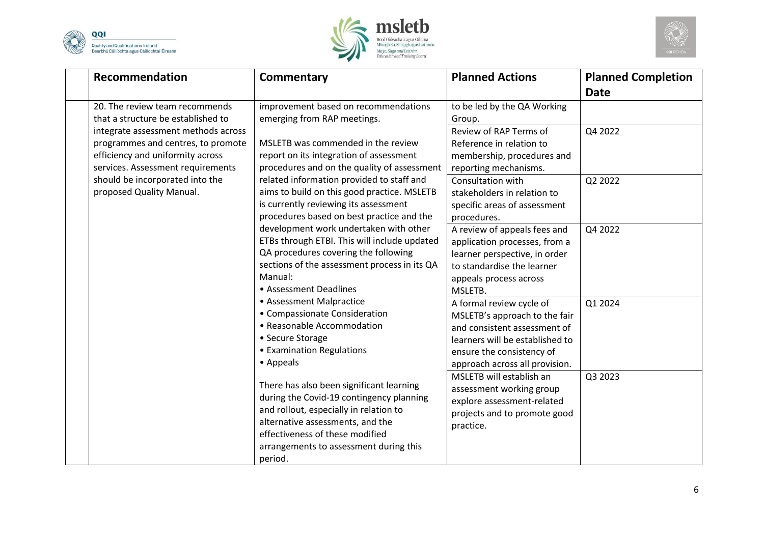





| Recommendation                      | <b>Commentary</b>                            | <b>Planned Actions</b>          | <b>Planned Completion</b> |
|-------------------------------------|----------------------------------------------|---------------------------------|---------------------------|
|                                     |                                              |                                 | <b>Date</b>               |
| 20. The review team recommends      | improvement based on recommendations         | to be led by the QA Working     |                           |
| that a structure be established to  | emerging from RAP meetings.                  | Group.                          |                           |
| integrate assessment methods across |                                              | Review of RAP Terms of          | Q4 2022                   |
| programmes and centres, to promote  | MSLETB was commended in the review           | Reference in relation to        |                           |
| efficiency and uniformity across    | report on its integration of assessment      | membership, procedures and      |                           |
| services. Assessment requirements   | procedures and on the quality of assessment  | reporting mechanisms.           |                           |
| should be incorporated into the     | related information provided to staff and    | Consultation with               | Q2 2022                   |
| proposed Quality Manual.            | aims to build on this good practice. MSLETB  | stakeholders in relation to     |                           |
|                                     | is currently reviewing its assessment        | specific areas of assessment    |                           |
|                                     | procedures based on best practice and the    | procedures.                     |                           |
|                                     | development work undertaken with other       | A review of appeals fees and    | Q4 2022                   |
|                                     | ETBs through ETBI. This will include updated | application processes, from a   |                           |
|                                     | QA procedures covering the following         | learner perspective, in order   |                           |
|                                     | sections of the assessment process in its QA | to standardise the learner      |                           |
|                                     | Manual:                                      | appeals process across          |                           |
|                                     | • Assessment Deadlines                       | MSLETB.                         |                           |
|                                     | • Assessment Malpractice                     | A formal review cycle of        | Q1 2024                   |
|                                     | • Compassionate Consideration                | MSLETB's approach to the fair   |                           |
|                                     | • Reasonable Accommodation                   | and consistent assessment of    |                           |
|                                     | • Secure Storage                             | learners will be established to |                           |
|                                     | • Examination Regulations                    | ensure the consistency of       |                           |
|                                     | • Appeals                                    | approach across all provision.  |                           |
|                                     |                                              | MSLETB will establish an        | Q3 2023                   |
|                                     | There has also been significant learning     | assessment working group        |                           |
|                                     | during the Covid-19 contingency planning     | explore assessment-related      |                           |
|                                     | and rollout, especially in relation to       | projects and to promote good    |                           |
|                                     | alternative assessments, and the             | practice.                       |                           |
|                                     | effectiveness of these modified              |                                 |                           |
|                                     | arrangements to assessment during this       |                                 |                           |
|                                     | period.                                      |                                 |                           |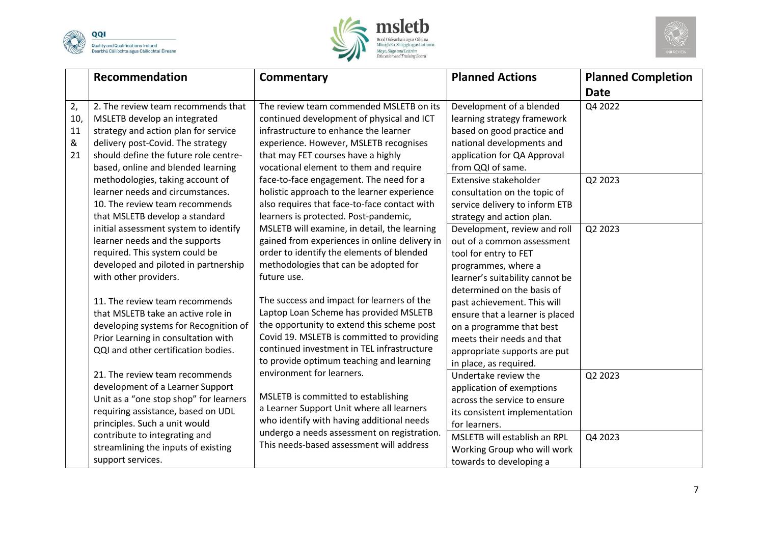





|                            | <b>Recommendation</b>                                                                                                                                                                                                                                                                                  | <b>Commentary</b>                                                                                                                                                                                                                                                                                                                                 | <b>Planned Actions</b>                                                                                                                                                                                                          | <b>Planned Completion</b> |
|----------------------------|--------------------------------------------------------------------------------------------------------------------------------------------------------------------------------------------------------------------------------------------------------------------------------------------------------|---------------------------------------------------------------------------------------------------------------------------------------------------------------------------------------------------------------------------------------------------------------------------------------------------------------------------------------------------|---------------------------------------------------------------------------------------------------------------------------------------------------------------------------------------------------------------------------------|---------------------------|
|                            |                                                                                                                                                                                                                                                                                                        |                                                                                                                                                                                                                                                                                                                                                   |                                                                                                                                                                                                                                 | <b>Date</b>               |
| 2,<br>10,<br>11<br>&<br>21 | 2. The review team recommends that<br>MSLETB develop an integrated<br>strategy and action plan for service<br>delivery post-Covid. The strategy<br>should define the future role centre-<br>based, online and blended learning<br>methodologies, taking account of<br>learner needs and circumstances. | The review team commended MSLETB on its<br>continued development of physical and ICT<br>infrastructure to enhance the learner<br>experience. However, MSLETB recognises<br>that may FET courses have a highly<br>vocational element to them and require<br>face-to-face engagement. The need for a<br>holistic approach to the learner experience | Development of a blended<br>learning strategy framework<br>based on good practice and<br>national developments and<br>application for QA Approval<br>from QQI of same.<br>Extensive stakeholder<br>consultation on the topic of | Q4 2022<br>Q2 2023        |
|                            | 10. The review team recommends<br>that MSLETB develop a standard                                                                                                                                                                                                                                       | also requires that face-to-face contact with<br>learners is protected. Post-pandemic,                                                                                                                                                                                                                                                             | service delivery to inform ETB<br>strategy and action plan.                                                                                                                                                                     |                           |
|                            | initial assessment system to identify<br>learner needs and the supports<br>required. This system could be<br>developed and piloted in partnership<br>with other providers.                                                                                                                             | MSLETB will examine, in detail, the learning<br>gained from experiences in online delivery in<br>order to identify the elements of blended<br>methodologies that can be adopted for<br>future use.                                                                                                                                                | Development, review and roll<br>out of a common assessment<br>tool for entry to FET<br>programmes, where a<br>learner's suitability cannot be<br>determined on the basis of                                                     | Q2 2023                   |
|                            | 11. The review team recommends<br>that MSLETB take an active role in<br>developing systems for Recognition of<br>Prior Learning in consultation with<br>QQI and other certification bodies.                                                                                                            | The success and impact for learners of the<br>Laptop Loan Scheme has provided MSLETB<br>the opportunity to extend this scheme post<br>Covid 19. MSLETB is committed to providing<br>continued investment in TEL infrastructure<br>to provide optimum teaching and learning                                                                        | past achievement. This will<br>ensure that a learner is placed<br>on a programme that best<br>meets their needs and that<br>appropriate supports are put<br>in place, as required.                                              |                           |
|                            | 21. The review team recommends<br>development of a Learner Support<br>Unit as a "one stop shop" for learners<br>requiring assistance, based on UDL<br>principles. Such a unit would<br>contribute to integrating and                                                                                   | environment for learners.<br>MSLETB is committed to establishing<br>a Learner Support Unit where all learners<br>who identify with having additional needs<br>undergo a needs assessment on registration.                                                                                                                                         | Undertake review the<br>application of exemptions<br>across the service to ensure<br>its consistent implementation<br>for learners.<br>MSLETB will establish an RPL                                                             | Q2 2023<br>Q4 2023        |
|                            | streamlining the inputs of existing<br>support services.                                                                                                                                                                                                                                               | This needs-based assessment will address                                                                                                                                                                                                                                                                                                          | Working Group who will work<br>towards to developing a                                                                                                                                                                          |                           |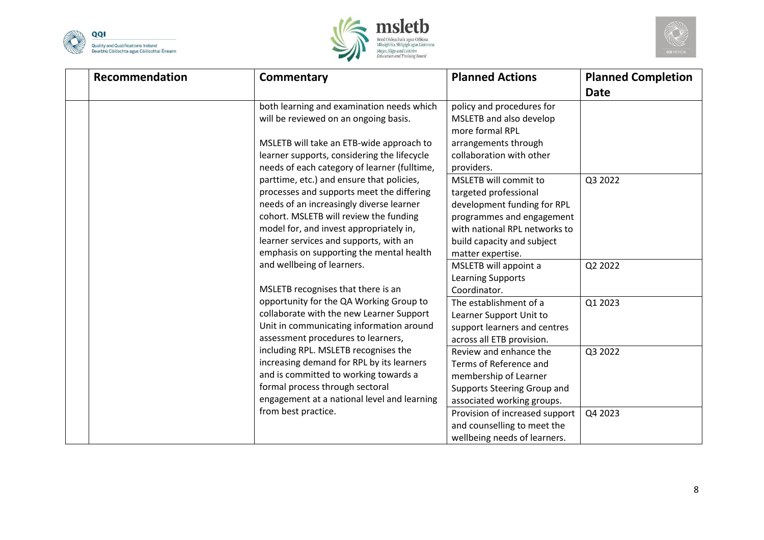





| Recommendation | <b>Commentary</b>                                                                                                                                                                                                                                                                                             | <b>Planned Actions</b>                                                                                                                                                                         | <b>Planned Completion</b><br><b>Date</b> |
|----------------|---------------------------------------------------------------------------------------------------------------------------------------------------------------------------------------------------------------------------------------------------------------------------------------------------------------|------------------------------------------------------------------------------------------------------------------------------------------------------------------------------------------------|------------------------------------------|
|                | both learning and examination needs which<br>will be reviewed on an ongoing basis.<br>MSLETB will take an ETB-wide approach to<br>learner supports, considering the lifecycle<br>needs of each category of learner (fulltime,                                                                                 | policy and procedures for<br>MSLETB and also develop<br>more formal RPL<br>arrangements through<br>collaboration with other<br>providers.                                                      |                                          |
|                | parttime, etc.) and ensure that policies,<br>processes and supports meet the differing<br>needs of an increasingly diverse learner<br>cohort. MSLETB will review the funding<br>model for, and invest appropriately in,<br>learner services and supports, with an<br>emphasis on supporting the mental health | MSLETB will commit to<br>targeted professional<br>development funding for RPL<br>programmes and engagement<br>with national RPL networks to<br>build capacity and subject<br>matter expertise. | Q3 2022                                  |
|                | and wellbeing of learners.<br>MSLETB recognises that there is an                                                                                                                                                                                                                                              | MSLETB will appoint a<br><b>Learning Supports</b><br>Coordinator.                                                                                                                              | Q2 2022                                  |
|                | opportunity for the QA Working Group to<br>collaborate with the new Learner Support<br>Unit in communicating information around<br>assessment procedures to learners,                                                                                                                                         | The establishment of a<br>Learner Support Unit to<br>support learners and centres<br>across all ETB provision.                                                                                 | Q1 2023                                  |
|                | including RPL. MSLETB recognises the<br>increasing demand for RPL by its learners<br>and is committed to working towards a<br>formal process through sectoral<br>engagement at a national level and learning                                                                                                  | Review and enhance the<br>Terms of Reference and<br>membership of Learner<br>Supports Steering Group and<br>associated working groups.                                                         | Q3 2022                                  |
|                | from best practice.                                                                                                                                                                                                                                                                                           | Provision of increased support<br>and counselling to meet the<br>wellbeing needs of learners.                                                                                                  | Q4 2023                                  |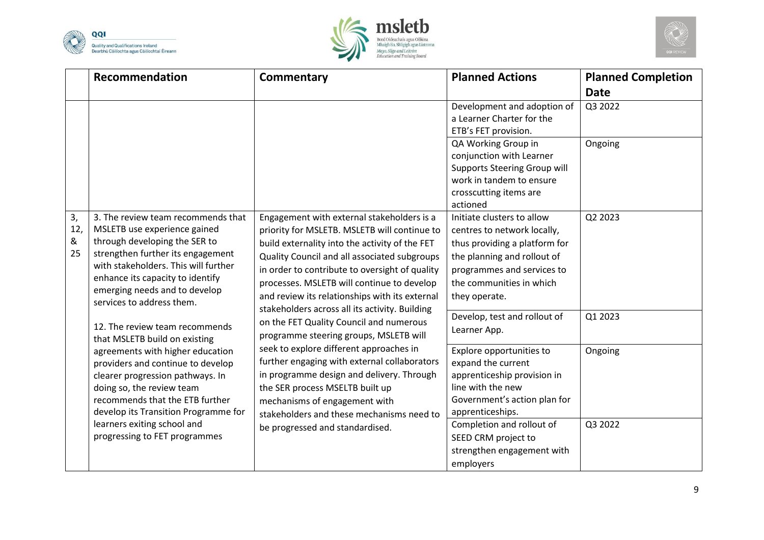





|                      | Recommendation                                                                                                                                                                                                                                                                                                                                                                                                                                                                                                                                                                                                                       | Commentary                                                                                                                                                                                                                                            | <b>Planned Actions</b>                                                                                                                                   | <b>Planned Completion</b> |
|----------------------|--------------------------------------------------------------------------------------------------------------------------------------------------------------------------------------------------------------------------------------------------------------------------------------------------------------------------------------------------------------------------------------------------------------------------------------------------------------------------------------------------------------------------------------------------------------------------------------------------------------------------------------|-------------------------------------------------------------------------------------------------------------------------------------------------------------------------------------------------------------------------------------------------------|----------------------------------------------------------------------------------------------------------------------------------------------------------|---------------------------|
|                      |                                                                                                                                                                                                                                                                                                                                                                                                                                                                                                                                                                                                                                      |                                                                                                                                                                                                                                                       |                                                                                                                                                          | <b>Date</b>               |
|                      |                                                                                                                                                                                                                                                                                                                                                                                                                                                                                                                                                                                                                                      |                                                                                                                                                                                                                                                       | Development and adoption of<br>a Learner Charter for the<br>ETB's FET provision.                                                                         | Q3 2022                   |
|                      |                                                                                                                                                                                                                                                                                                                                                                                                                                                                                                                                                                                                                                      |                                                                                                                                                                                                                                                       | QA Working Group in<br>conjunction with Learner<br><b>Supports Steering Group will</b><br>work in tandem to ensure<br>crosscutting items are<br>actioned | Ongoing                   |
| 3,<br>12,<br>&<br>25 | Engagement with external stakeholders is a<br>3. The review team recommends that<br>MSLETB use experience gained<br>priority for MSLETB. MSLETB will continue to<br>through developing the SER to<br>build externality into the activity of the FET<br>strengthen further its engagement<br>Quality Council and all associated subgroups<br>with stakeholders. This will further<br>in order to contribute to oversight of quality<br>enhance its capacity to identify<br>processes. MSLETB will continue to develop<br>emerging needs and to develop<br>and review its relationships with its external<br>services to address them. | Initiate clusters to allow<br>centres to network locally,<br>thus providing a platform for<br>the planning and rollout of<br>programmes and services to<br>the communities in which<br>they operate.                                                  | Q2 2023                                                                                                                                                  |                           |
|                      | 12. The review team recommends<br>that MSLETB build on existing                                                                                                                                                                                                                                                                                                                                                                                                                                                                                                                                                                      | stakeholders across all its activity. Building<br>on the FET Quality Council and numerous<br>programme steering groups, MSLETB will                                                                                                                   | Develop, test and rollout of<br>Learner App.                                                                                                             | Q1 2023                   |
|                      | agreements with higher education<br>providers and continue to develop<br>clearer progression pathways. In<br>doing so, the review team<br>recommends that the ETB further<br>develop its Transition Programme for<br>learners exiting school and<br>progressing to FET programmes                                                                                                                                                                                                                                                                                                                                                    | seek to explore different approaches in<br>further engaging with external collaborators<br>in programme design and delivery. Through<br>the SER process MSELTB built up<br>mechanisms of engagement with<br>stakeholders and these mechanisms need to | Explore opportunities to<br>expand the current<br>apprenticeship provision in<br>line with the new<br>Government's action plan for<br>apprenticeships.   | Ongoing                   |
|                      |                                                                                                                                                                                                                                                                                                                                                                                                                                                                                                                                                                                                                                      | be progressed and standardised.                                                                                                                                                                                                                       | Completion and rollout of<br>SEED CRM project to<br>strengthen engagement with<br>employers                                                              | Q3 2022                   |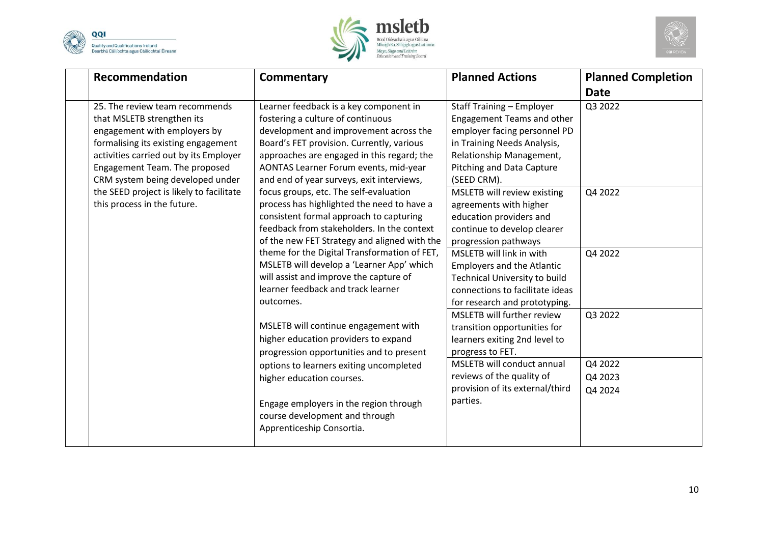





| Recommendation                                                                                                                                                                                                                                                                                                                | <b>Commentary</b>                                                                                                                                                                                                                                                                                                                                                                                                                                                                       | <b>Planned Actions</b>                                                                                                                                                                                                                                                                                                                 | <b>Planned Completion</b>     |
|-------------------------------------------------------------------------------------------------------------------------------------------------------------------------------------------------------------------------------------------------------------------------------------------------------------------------------|-----------------------------------------------------------------------------------------------------------------------------------------------------------------------------------------------------------------------------------------------------------------------------------------------------------------------------------------------------------------------------------------------------------------------------------------------------------------------------------------|----------------------------------------------------------------------------------------------------------------------------------------------------------------------------------------------------------------------------------------------------------------------------------------------------------------------------------------|-------------------------------|
|                                                                                                                                                                                                                                                                                                                               |                                                                                                                                                                                                                                                                                                                                                                                                                                                                                         |                                                                                                                                                                                                                                                                                                                                        | <b>Date</b>                   |
| 25. The review team recommends<br>that MSLETB strengthen its<br>engagement with employers by<br>formalising its existing engagement<br>activities carried out by its Employer<br>Engagement Team. The proposed<br>CRM system being developed under<br>the SEED project is likely to facilitate<br>this process in the future. | Learner feedback is a key component in<br>fostering a culture of continuous<br>development and improvement across the<br>Board's FET provision. Currently, various<br>approaches are engaged in this regard; the<br>AONTAS Learner Forum events, mid-year<br>and end of year surveys, exit interviews,<br>focus groups, etc. The self-evaluation<br>process has highlighted the need to have a<br>consistent formal approach to capturing<br>feedback from stakeholders. In the context | <b>Staff Training - Employer</b><br><b>Engagement Teams and other</b><br>employer facing personnel PD<br>in Training Needs Analysis,<br>Relationship Management,<br><b>Pitching and Data Capture</b><br>(SEED CRM).<br>MSLETB will review existing<br>agreements with higher<br>education providers and<br>continue to develop clearer | Q3 2022<br>Q4 2022            |
|                                                                                                                                                                                                                                                                                                                               | of the new FET Strategy and aligned with the<br>theme for the Digital Transformation of FET,<br>MSLETB will develop a 'Learner App' which<br>will assist and improve the capture of<br>learner feedback and track learner<br>outcomes.<br>MSLETB will continue engagement with<br>higher education providers to expand<br>progression opportunities and to present                                                                                                                      | progression pathways<br>MSLETB will link in with<br><b>Employers and the Atlantic</b><br>Technical University to build<br>connections to facilitate ideas<br>for research and prototyping.<br>MSLETB will further review<br>transition opportunities for<br>learners exiting 2nd level to<br>progress to FET.                          | Q4 2022<br>Q3 2022            |
|                                                                                                                                                                                                                                                                                                                               | options to learners exiting uncompleted<br>higher education courses.<br>Engage employers in the region through<br>course development and through<br>Apprenticeship Consortia.                                                                                                                                                                                                                                                                                                           | MSLETB will conduct annual<br>reviews of the quality of<br>provision of its external/third<br>parties.                                                                                                                                                                                                                                 | Q4 2022<br>Q4 2023<br>Q4 2024 |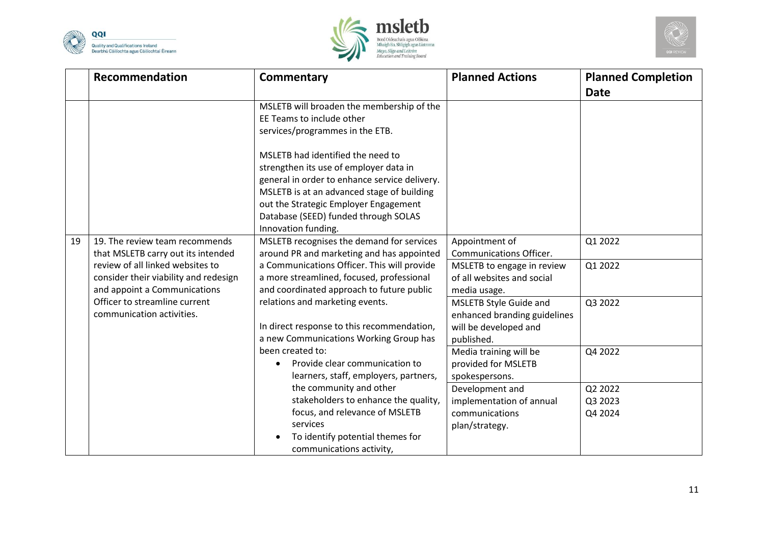





|    | Recommendation                                                                                            | <b>Commentary</b>                                                                                                                                                                                                                                                                  | <b>Planned Actions</b>                                                                        | <b>Planned Completion</b><br><b>Date</b> |
|----|-----------------------------------------------------------------------------------------------------------|------------------------------------------------------------------------------------------------------------------------------------------------------------------------------------------------------------------------------------------------------------------------------------|-----------------------------------------------------------------------------------------------|------------------------------------------|
|    |                                                                                                           | MSLETB will broaden the membership of the<br>EE Teams to include other<br>services/programmes in the ETB.                                                                                                                                                                          |                                                                                               |                                          |
|    |                                                                                                           | MSLETB had identified the need to<br>strengthen its use of employer data in<br>general in order to enhance service delivery.<br>MSLETB is at an advanced stage of building<br>out the Strategic Employer Engagement<br>Database (SEED) funded through SOLAS<br>Innovation funding. |                                                                                               |                                          |
| 19 | 19. The review team recommends<br>that MSLETB carry out its intended                                      | MSLETB recognises the demand for services<br>around PR and marketing and has appointed                                                                                                                                                                                             | Appointment of<br><b>Communications Officer.</b>                                              | Q1 2022                                  |
|    | review of all linked websites to<br>consider their viability and redesign<br>and appoint a Communications | a Communications Officer. This will provide<br>a more streamlined, focused, professional<br>and coordinated approach to future public                                                                                                                                              | MSLETB to engage in review<br>of all websites and social<br>media usage.                      | Q1 2022                                  |
|    | Officer to streamline current<br>communication activities.                                                | relations and marketing events.<br>In direct response to this recommendation,<br>a new Communications Working Group has                                                                                                                                                            | MSLETB Style Guide and<br>enhanced branding guidelines<br>will be developed and<br>published. | Q3 2022                                  |
|    |                                                                                                           | been created to:<br>Provide clear communication to<br>learners, staff, employers, partners,                                                                                                                                                                                        | Media training will be<br>provided for MSLETB<br>spokespersons.                               | Q4 2022                                  |
|    |                                                                                                           | the community and other<br>stakeholders to enhance the quality,<br>focus, and relevance of MSLETB<br>services<br>To identify potential themes for<br>communications activity,                                                                                                      | Development and<br>implementation of annual<br>communications<br>plan/strategy.               | Q2 2022<br>Q3 2023<br>Q4 2024            |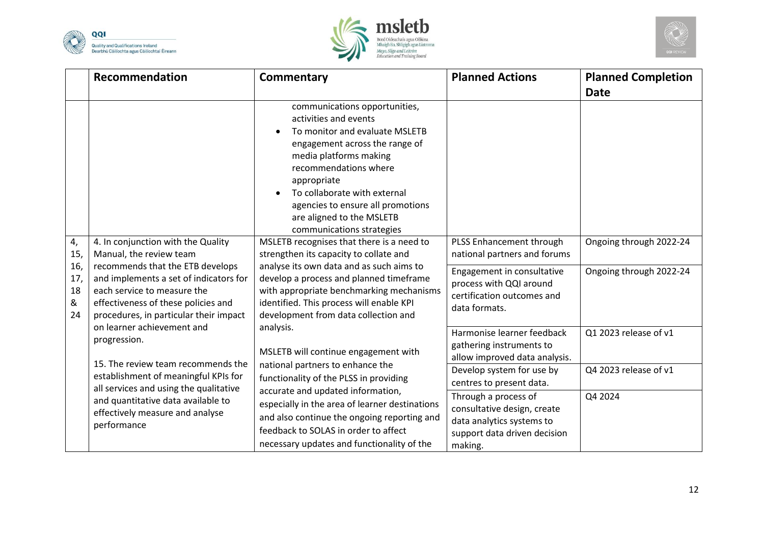





|                             | Recommendation                                                                                                                                                                                                                                        | <b>Commentary</b>                                                                                                                                                                                                                                                                                                                                                        | <b>Planned Actions</b>                                                                                                      | <b>Planned Completion</b><br><b>Date</b> |
|-----------------------------|-------------------------------------------------------------------------------------------------------------------------------------------------------------------------------------------------------------------------------------------------------|--------------------------------------------------------------------------------------------------------------------------------------------------------------------------------------------------------------------------------------------------------------------------------------------------------------------------------------------------------------------------|-----------------------------------------------------------------------------------------------------------------------------|------------------------------------------|
| 4,                          | 4. In conjunction with the Quality                                                                                                                                                                                                                    | communications opportunities,<br>activities and events<br>To monitor and evaluate MSLETB<br>engagement across the range of<br>media platforms making<br>recommendations where<br>appropriate<br>To collaborate with external<br>agencies to ensure all promotions<br>are aligned to the MSLETB<br>communications strategies<br>MSLETB recognises that there is a need to | PLSS Enhancement through                                                                                                    | Ongoing through 2022-24                  |
| 15,                         | Manual, the review team                                                                                                                                                                                                                               | strengthen its capacity to collate and                                                                                                                                                                                                                                                                                                                                   | national partners and forums                                                                                                |                                          |
| 16,<br>17,<br>18<br>&<br>24 | recommends that the ETB develops<br>and implements a set of indicators for<br>each service to measure the<br>effectiveness of these policies and<br>procedures, in particular their impact<br>on learner achievement and<br>analysis.<br>progression. | analyse its own data and as such aims to<br>develop a process and planned timeframe<br>with appropriate benchmarking mechanisms<br>identified. This process will enable KPI<br>development from data collection and                                                                                                                                                      | Engagement in consultative<br>process with QQI around<br>certification outcomes and<br>data formats.                        | Ongoing through 2022-24                  |
|                             |                                                                                                                                                                                                                                                       | MSLETB will continue engagement with                                                                                                                                                                                                                                                                                                                                     | Harmonise learner feedback<br>gathering instruments to<br>allow improved data analysis.                                     | Q1 2023 release of v1                    |
|                             | 15. The review team recommends the<br>establishment of meaningful KPIs for<br>all services and using the qualitative                                                                                                                                  | national partners to enhance the<br>functionality of the PLSS in providing                                                                                                                                                                                                                                                                                               | Develop system for use by<br>centres to present data.                                                                       | Q4 2023 release of v1                    |
|                             | and quantitative data available to<br>effectively measure and analyse<br>performance                                                                                                                                                                  | accurate and updated information,<br>especially in the area of learner destinations<br>and also continue the ongoing reporting and<br>feedback to SOLAS in order to affect<br>necessary updates and functionality of the                                                                                                                                                 | Through a process of<br>consultative design, create<br>data analytics systems to<br>support data driven decision<br>making. | Q4 2024                                  |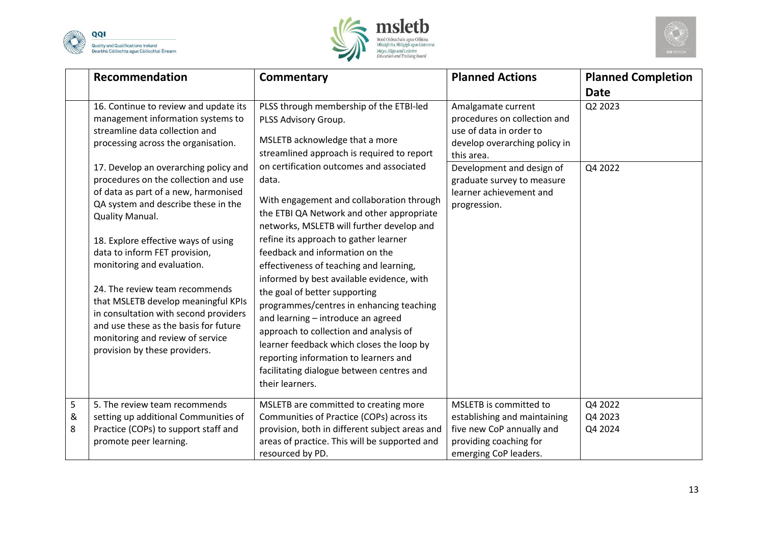





|             | <b>Recommendation</b>                                                                                                                                                                                                                                                                       | <b>Commentary</b>                                                                                                                                                                                                                                                                                                                                                                                                                          | <b>Planned Actions</b>                                                                                                                 | <b>Planned Completion</b><br><b>Date</b> |
|-------------|---------------------------------------------------------------------------------------------------------------------------------------------------------------------------------------------------------------------------------------------------------------------------------------------|--------------------------------------------------------------------------------------------------------------------------------------------------------------------------------------------------------------------------------------------------------------------------------------------------------------------------------------------------------------------------------------------------------------------------------------------|----------------------------------------------------------------------------------------------------------------------------------------|------------------------------------------|
|             | 16. Continue to review and update its<br>management information systems to<br>streamline data collection and<br>processing across the organisation.                                                                                                                                         | PLSS through membership of the ETBI-led<br>PLSS Advisory Group.<br>MSLETB acknowledge that a more<br>streamlined approach is required to report                                                                                                                                                                                                                                                                                            | Amalgamate current<br>procedures on collection and<br>use of data in order to<br>develop overarching policy in<br>this area.           | Q2 2023                                  |
|             | 17. Develop an overarching policy and<br>procedures on the collection and use<br>of data as part of a new, harmonised<br>QA system and describe these in the<br>Quality Manual.<br>18. Explore effective ways of using                                                                      | on certification outcomes and associated<br>data.<br>With engagement and collaboration through<br>the ETBI QA Network and other appropriate<br>networks, MSLETB will further develop and<br>refine its approach to gather learner                                                                                                                                                                                                          | Development and design of<br>graduate survey to measure<br>learner achievement and<br>progression.                                     | Q4 2022                                  |
|             | data to inform FET provision,<br>monitoring and evaluation.<br>24. The review team recommends<br>that MSLETB develop meaningful KPIs<br>in consultation with second providers<br>and use these as the basis for future<br>monitoring and review of service<br>provision by these providers. | feedback and information on the<br>effectiveness of teaching and learning,<br>informed by best available evidence, with<br>the goal of better supporting<br>programmes/centres in enhancing teaching<br>and learning - introduce an agreed<br>approach to collection and analysis of<br>learner feedback which closes the loop by<br>reporting information to learners and<br>facilitating dialogue between centres and<br>their learners. |                                                                                                                                        |                                          |
| 5<br>&<br>8 | 5. The review team recommends<br>setting up additional Communities of<br>Practice (COPs) to support staff and<br>promote peer learning.                                                                                                                                                     | MSLETB are committed to creating more<br>Communities of Practice (COPs) across its<br>provision, both in different subject areas and<br>areas of practice. This will be supported and<br>resourced by PD.                                                                                                                                                                                                                                  | MSLETB is committed to<br>establishing and maintaining<br>five new CoP annually and<br>providing coaching for<br>emerging CoP leaders. | Q4 2022<br>Q4 2023<br>Q4 2024            |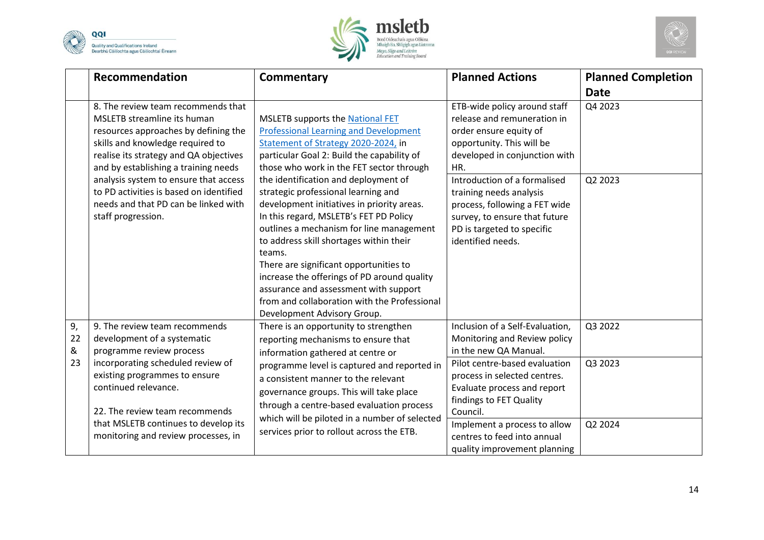





|               | Recommendation                                                                                                                                                                                                                  | <b>Commentary</b>                                                                                                                                                                                                                                                                                                                                                                                                                                                                     | <b>Planned Actions</b>                                                                                                                                                       | <b>Planned Completion</b> |
|---------------|---------------------------------------------------------------------------------------------------------------------------------------------------------------------------------------------------------------------------------|---------------------------------------------------------------------------------------------------------------------------------------------------------------------------------------------------------------------------------------------------------------------------------------------------------------------------------------------------------------------------------------------------------------------------------------------------------------------------------------|------------------------------------------------------------------------------------------------------------------------------------------------------------------------------|---------------------------|
|               |                                                                                                                                                                                                                                 |                                                                                                                                                                                                                                                                                                                                                                                                                                                                                       |                                                                                                                                                                              | <b>Date</b>               |
|               | 8. The review team recommends that<br>MSLETB streamline its human<br>resources approaches by defining the<br>skills and knowledge required to<br>realise its strategy and QA objectives<br>and by establishing a training needs | <b>MSLETB supports the National FET</b><br><b>Professional Learning and Development</b><br>Statement of Strategy 2020-2024, in<br>particular Goal 2: Build the capability of<br>those who work in the FET sector through                                                                                                                                                                                                                                                              | ETB-wide policy around staff<br>release and remuneration in<br>order ensure equity of<br>opportunity. This will be<br>developed in conjunction with<br>HR.                   | Q4 2023                   |
|               | analysis system to ensure that access<br>to PD activities is based on identified<br>needs and that PD can be linked with<br>staff progression.                                                                                  | the identification and deployment of<br>strategic professional learning and<br>development initiatives in priority areas.<br>In this regard, MSLETB's FET PD Policy<br>outlines a mechanism for line management<br>to address skill shortages within their<br>teams.<br>There are significant opportunities to<br>increase the offerings of PD around quality<br>assurance and assessment with support<br>from and collaboration with the Professional<br>Development Advisory Group. | Introduction of a formalised<br>training needs analysis<br>process, following a FET wide<br>survey, to ensure that future<br>PD is targeted to specific<br>identified needs. | Q2 2023                   |
| 9,<br>22<br>& | 9. The review team recommends<br>development of a systematic<br>programme review process                                                                                                                                        | There is an opportunity to strengthen<br>reporting mechanisms to ensure that<br>information gathered at centre or                                                                                                                                                                                                                                                                                                                                                                     | Inclusion of a Self-Evaluation,<br>Monitoring and Review policy<br>in the new QA Manual.                                                                                     | Q3 2022                   |
| 23            | incorporating scheduled review of<br>existing programmes to ensure<br>continued relevance.<br>22. The review team recommends                                                                                                    | programme level is captured and reported in<br>a consistent manner to the relevant<br>governance groups. This will take place<br>through a centre-based evaluation process                                                                                                                                                                                                                                                                                                            | Pilot centre-based evaluation<br>process in selected centres.<br>Evaluate process and report<br>findings to FET Quality<br>Council.                                          | Q3 2023                   |
|               | that MSLETB continues to develop its<br>monitoring and review processes, in                                                                                                                                                     | which will be piloted in a number of selected<br>services prior to rollout across the ETB.                                                                                                                                                                                                                                                                                                                                                                                            | Implement a process to allow<br>centres to feed into annual<br>quality improvement planning                                                                                  | Q2 2024                   |